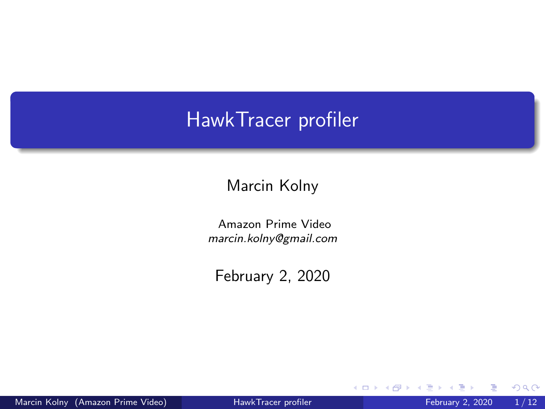#### <span id="page-0-0"></span>HawkTracer profiler

#### Marcin Kolny

Amazon Prime Video marcin.kolny@gmail.com

February 2, 2020

イロト

 $299$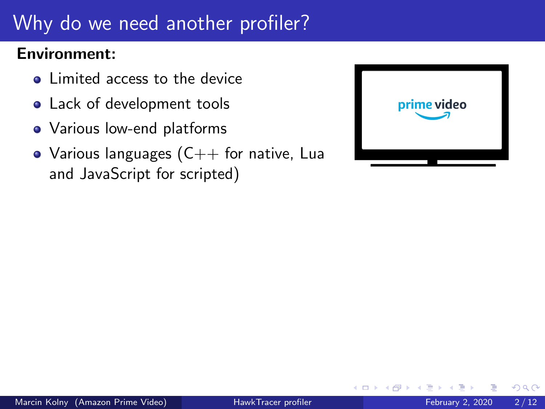## <span id="page-1-0"></span>Why do we need another profiler?

#### Environment:

- Limited access to the device
- Lack of development tools
- Various low-end platforms
- Various languages  $(C++$  for native, Lua and JavaScript for scripted)

| prime video |
|-------------|
|             |

4 0 8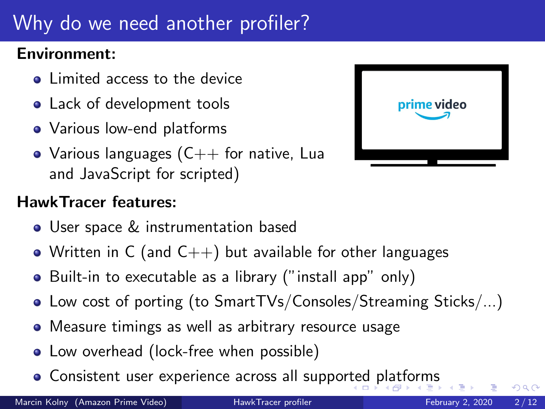## <span id="page-2-0"></span>Why do we need another profiler?

#### Environment:

- Limited access to the device
- Lack of development tools
- Various low-end platforms
- Various languages  $(C++$  for native, Lua and JavaScript for scripted)

#### HawkTracer features:

- User space & instrumentation based
- Written in C (and  $C_{++}$ ) but available for other languages
- Built-in to executable as a library ("install app" only)
- Low cost of porting (to SmartTVs/Consoles/Streaming Sticks/...)
- Measure timings as well as arbitrary resource usage
- Low overhead (lock-free when possible)
- Consistent user experience across all suppo[rte](#page-1-0)[d p](#page-3-0)[l](#page-0-0)[a](#page-1-0)[tf](#page-2-0)[o](#page-3-0)[rm](#page-0-0)[s](#page-12-0)

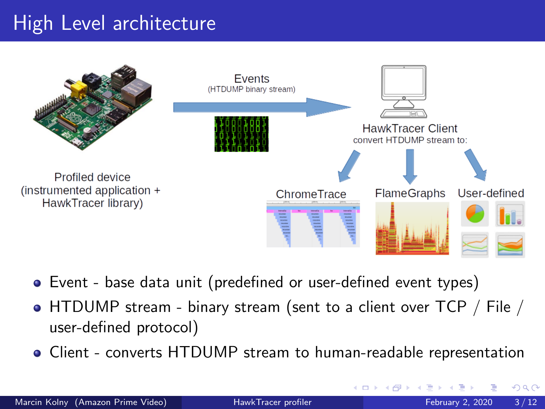## <span id="page-3-0"></span>High Level architecture



- Event base data unit (predefined or user-defined event types)
- HTDUMP stream binary stream (sent to a client over TCP / File / user-defined protocol)
- Client converts HTDUMP stream to human-readable representation

4 **D F**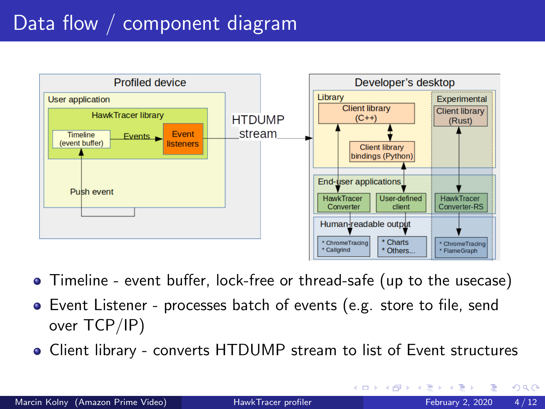## Data flow / component diagram



- Timeline event buffer, lock-free or thread-safe (up to the usecase)
- Event Listener processes batch of events (e.g. store to file, send over TCP/IP)
- Client library converts HTDUMP stream to list of Event structures

 $QQQ$ 

イロト イ押ト イヨト イヨト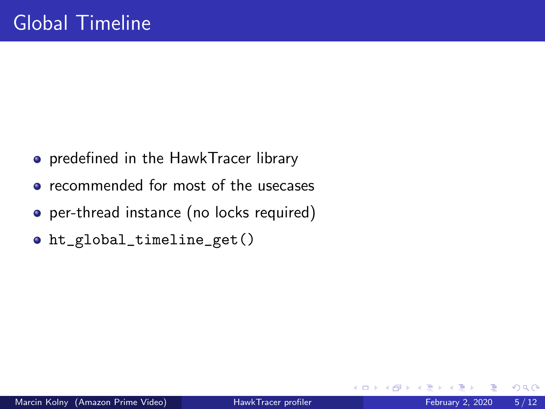- **•** predefined in the HawkTracer library
- recommended for most of the usecases
- per-thread instance (no locks required)
- ht\_global\_timeline\_get()

4 0 8

 $QQQ$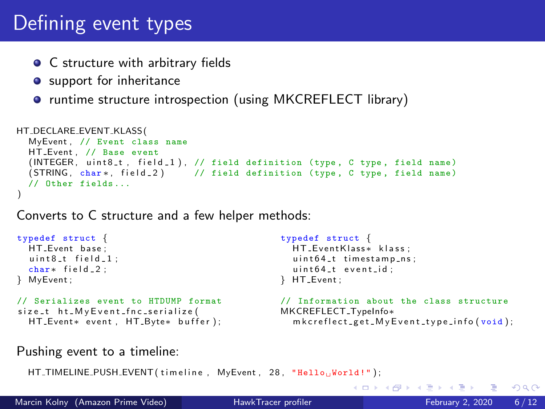#### Defining event types

- C structure with arbitrary fields
- **o** support for inheritance
- runtime structure introspection (using MKCREFLECT library)

```
HT_DECLARE_EVENT_KLASS (
  MyEvent, // Event class name
  HT Event , // Base event
  (INTEGER, uint8<sub>-t</sub>, field-1), // field definition (type, C type, field name)
  ( STRING, char *, field 2 ) // field definition (type, C type, field name)
  // Other fields ...
)
```
Converts to C structure and a few helper methods:

```
typedef struct {
  HT_Event base:
  uint8_t field-1:
  char* field_2;
} MyEvent ;
// Serializes event to HTDUMP format
size_t ht_MvEvent_fnc_serialize(
  HT_Event* event, HT_Byte* buffer);
                                                    typedef struct {
                                                      HT_EventKlass* klass:
                                                      uint64_t timestamp_ns :
                                                      uint64_t event_id;
                                                    } HT Event ;
                                                    // Information about the class structure
                                                    MKCREFLECT_TypeInfo*
                                                      m k c r e f l e c t _ g e t _ M y E v e n t _ t y p e _ i n f o ( void ) ;
```
Pushing event to a timeline:

HT\_TIMELINE\_PUSH\_EVENT(timeline, MyEvent, 28, "Hellow World!");

Marcin Kolny (Amazon Prime Video) [HawkTracer profiler](#page-0-0) February 2, 2020 6/12

 $QQ$ 

イロト イ母ト イヨト イヨト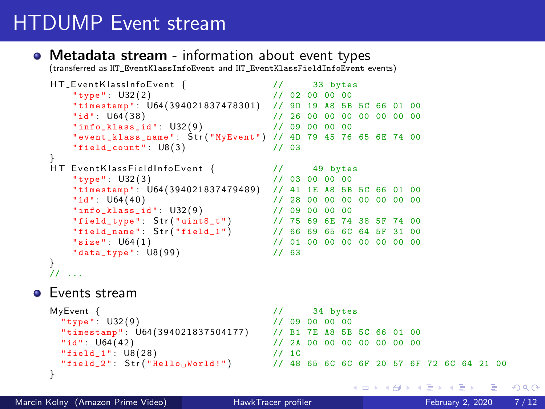## HTDUMP Event stream

#### • Metadata stream - information about event types

(transferred as HT\_EventKlassInfoEvent and HT\_EventKlassFieldInfoEvent events)

```
HT_EventKlassInfoEvent { \frac{1}{2} // 33 bytes<br>"type": U32(2) // 02 00 00 00
          "type": U32(2)                                 // 02 00 00 00<br>"timestamp": U64(394021837478301)  // 9D 19 A8 5B 5C 66 01 00
          "id" : U64 ( 3 8 ) // 26 00 00 00 00 00 00 00
          "info_klass_id" : U32(9)"event_klass_name": \text{Str}(\text{"MyEvent"}) // 4D 79 45 76 65 6E 74 00<br>"field count": U8(3) // 03
          "field_count" : <math>\cup</math>8(3)HT_EventKlassFieldInfoEvent {
    H T E v e n t K l a s s F i e l d I n f o E v e n t { // 49 bytes
" type " : U32 ( 3 ) // 03 00 00 00
          "timestamp": U64(394021837479489) // 41 1E A8 5B 5C 66 01 00<br>"id": U64(40) // 28 00 00 00 00 00 00 00
                                              1/ 28 00 00 00 00 00 00 00
          "
info_klass_id": U32(9) <br>"info_klass_id": U32(9) // 09 00 00 00
          " field_type " : S t r ( " uint8_t " ) // 75 69 6E 74 38 5F 74 00
" field_name " : S t r ( " field_1 " ) // 66 69 65 6C 64 5F 31 00
         "size": U64(1)<br>
"data tvpe": U8(99) \frac{1}{163}"data_type" : U8(99)}
    \nu ...
e Events stream
    MyEvent { \begin{array}{ccc} 1/7 & 34 \text{ bytes} \\ 1/7 & 34 \text{ bytes} \end{array}" type " : U32 ( 9 ) // 09 00 00 00
" timestamp " : U64 ( 3 9 4 0 2 1 8 3 7 5 0 4 1 7 7 ) // B1 7E A8 5B 5C 66 01 00
```

```
"id" : U64 ( 4 2 ) // 2A 00 00 00 00 00 00 00
 "field_1": U8(28) // 1C
 "field_2": Str("Hello<sub>u</sub>World!") // 48 65 6C 6C 6F 20 57 6F 72 6C 64 21 00
}
```
 $ORO$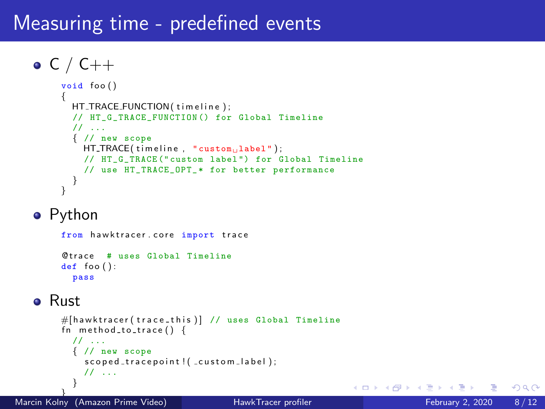#### Measuring time - predefined events

```
\bullet C / C++
     void foo(){
       HT_TRACE_FUNCTION(timeline);
       // HT_G_TRACE_FUNCTION () for Global Timeline
       // ...
       { // new scope
         HT\_TRACE( timeline, "custom<sub>ii</sub>label");
         // HT_G_TRACE (" custom label ") for Global Timeline
         // use HT_TRACE_OPT_* for better performance
        }
     }
```
#### • Python

from hawktracer.core import trace Qtrace # uses Global Timeline  $def$  foo $()$ : pass

#### **•** Rust

```
#[hawktracer(trace_this)] // uses Global Timeline
fn method_to_time()// ...
  { // new scope
    second\_tracenoint! (custom\_label):// ...
  }
```
4 **D F** 

AD > 4 E > 4 E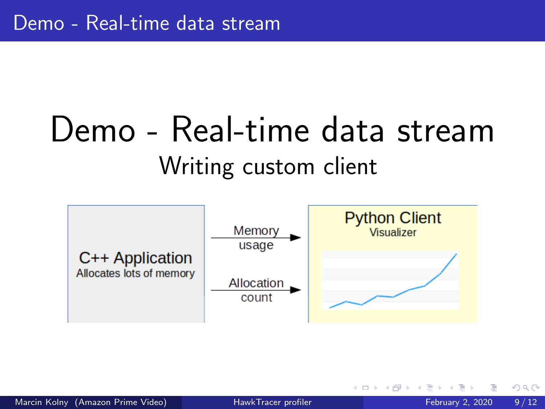## Demo - Real-time data stream Writing custom client

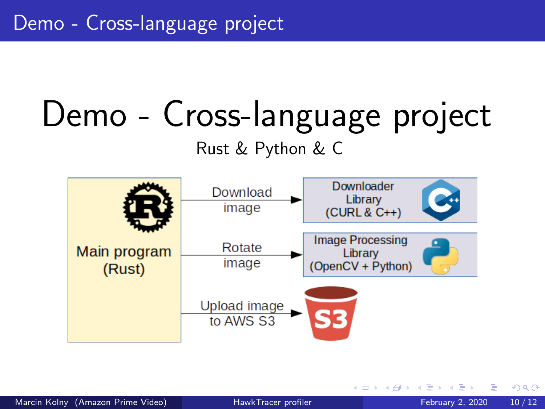# Demo - Cross-language project

Rust & Python & C



4 **D F**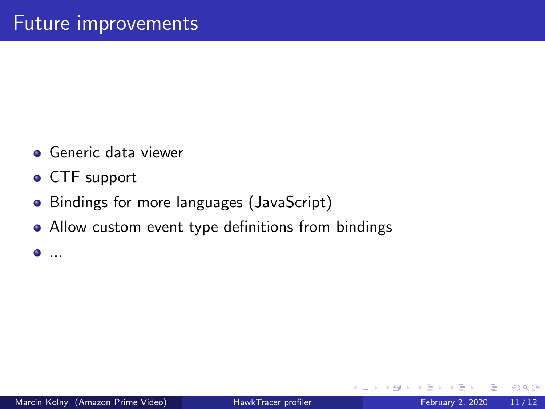- **•** Generic data viewer
- CTF support
- Bindings for more languages (JavaScript)
- Allow custom event type definitions from bindings

 $\bullet$  ...

4 **D F** 

 $QQ$